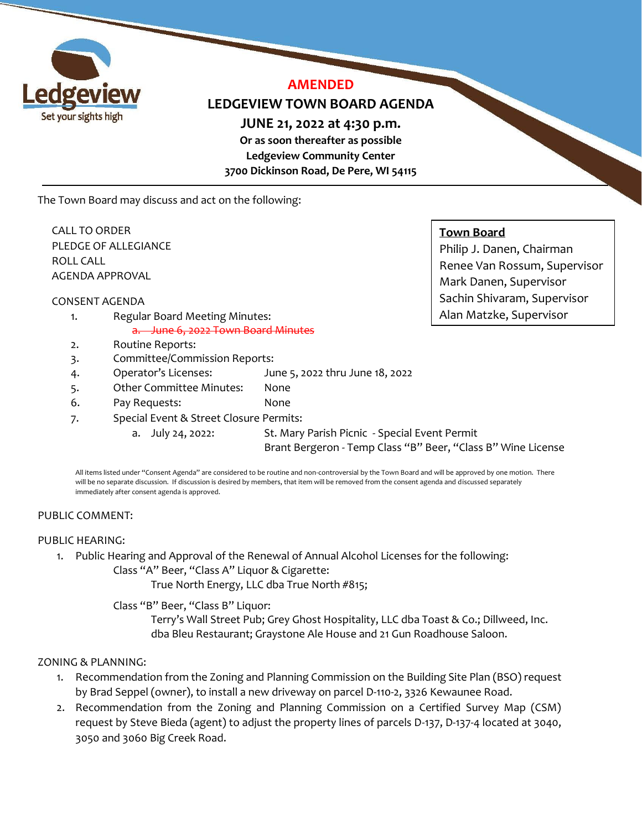

# **AMENDED**

# **LEDGEVIEW TOWN BOARD AGENDA**

**JUNE 21, 2022 at 4:30 p.m.** 

**Or as soon thereafter as possible Ledgeview Community Center 3700 Dickinson Road, De Pere, WI 54115**

The Town Board may discuss and act on the following:

CALL TO ORDER PLEDGE OF ALLEGIANCE ROLL CALL AGENDA APPROVAL

CONSENT AGENDA

- 1. Regular Board Meeting Minutes: a. June 6, 2022 Town Board Minutes
- 2. Routine Reports:
- 3. Committee/Commission Reports:
- 4. Operator's Licenses: June 5, 2022 thru June 18, 2022
- 5. Other Committee Minutes: None
- 6. Pay Requests: None
- 7. Special Event & Street Closure Permits:
	- a. July 24, 2022: St. Mary Parish Picnic Special Event Permit Brant Bergeron - Temp Class "B" Beer, "Class B" Wine License

All items listed under "Consent Agenda" are considered to be routine and non-controversial by the Town Board and will be approved by one motion. There will be no separate discussion. If discussion is desired by members, that item will be removed from the consent agenda and discussed separately immediately after consent agenda is approved.

# PUBLIC COMMENT:

#### PUBLIC HEARING:

1. Public Hearing and Approval of the Renewal of Annual Alcohol Licenses for the following: Class "A" Beer, "Class A" Liquor & Cigarette:

True North Energy, LLC dba True North #815;

Class "B" Beer, "Class B" Liquor:

Terry's Wall Street Pub; Grey Ghost Hospitality, LLC dba Toast & Co.; Dillweed, Inc. dba Bleu Restaurant; Graystone Ale House and 21 Gun Roadhouse Saloon.

# ZONING & PLANNING:

- 1. Recommendation from the Zoning and Planning Commission on the Building Site Plan (BSO) request by Brad Seppel (owner), to install a new driveway on parcel D-110-2, 3326 Kewaunee Road.
- 2. Recommendation from the Zoning and Planning Commission on a Certified Survey Map (CSM) request by Steve Bieda (agent) to adjust the property lines of parcels D-137, D-137-4 located at 3040, 3050 and 3060 Big Creek Road.

# **Town Board**

Philip J. Danen, Chairman Renee Van Rossum, Supervisor Mark Danen, Supervisor Sachin Shivaram, Supervisor Alan Matzke, Supervisor